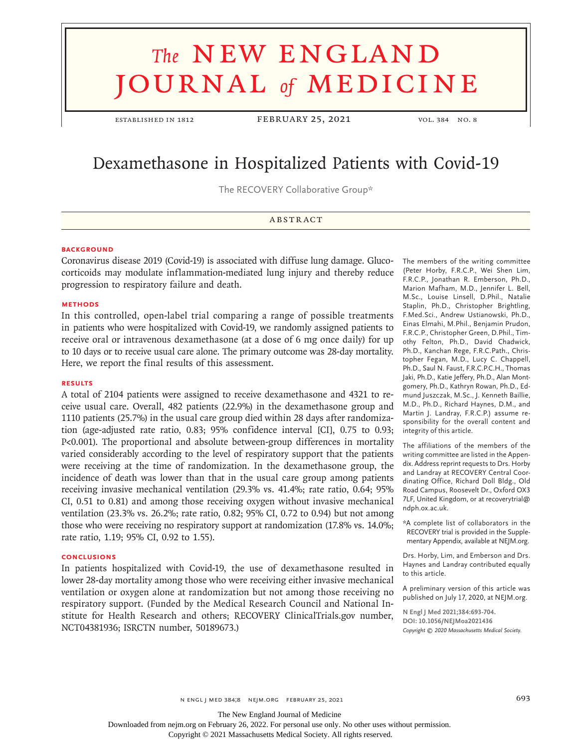# **The NEW ENGLAND** journal *of* medicine

ESTABLISHED IN 1812 FEBRUARY 25, 2021 VOL. 384 NO. 8

# Dexamethasone in Hospitalized Patients with Covid-19

The RECOVERY Collaborative Group\*

# **ABSTRACT**

#### **BACKGROUND**

Coronavirus disease 2019 (Covid-19) is associated with diffuse lung damage. Glucocorticoids may modulate inflammation-mediated lung injury and thereby reduce progression to respiratory failure and death.

#### **METHODS**

In this controlled, open-label trial comparing a range of possible treatments in patients who were hospitalized with Covid-19, we randomly assigned patients to receive oral or intravenous dexamethasone (at a dose of 6 mg once daily) for up to 10 days or to receive usual care alone. The primary outcome was 28-day mortality. Here, we report the final results of this assessment.

#### **RESULTS**

A total of 2104 patients were assigned to receive dexamethasone and 4321 to receive usual care. Overall, 482 patients (22.9%) in the dexamethasone group and 1110 patients (25.7%) in the usual care group died within 28 days after randomization (age-adjusted rate ratio, 0.83; 95% confidence interval [CI], 0.75 to 0.93; P<0.001). The proportional and absolute between-group differences in mortality varied considerably according to the level of respiratory support that the patients were receiving at the time of randomization. In the dexamethasone group, the incidence of death was lower than that in the usual care group among patients receiving invasive mechanical ventilation (29.3% vs. 41.4%; rate ratio, 0.64; 95% CI, 0.51 to 0.81) and among those receiving oxygen without invasive mechanical ventilation (23.3% vs. 26.2%; rate ratio, 0.82; 95% CI, 0.72 to 0.94) but not among those who were receiving no respiratory support at randomization (17.8% vs. 14.0%; rate ratio, 1.19; 95% CI, 0.92 to 1.55).

#### **CONCLUSIONS**

In patients hospitalized with Covid-19, the use of dexamethasone resulted in lower 28-day mortality among those who were receiving either invasive mechanical ventilation or oxygen alone at randomization but not among those receiving no respiratory support. (Funded by the Medical Research Council and National Institute for Health Research and others; RECOVERY ClinicalTrials.gov number, NCT04381936; ISRCTN number, 50189673.)

The members of the writing committee (Peter Horby, F.R.C.P., Wei Shen Lim, F.R.C.P., Jonathan R. Emberson, Ph.D., Marion Mafham, M.D., Jennifer L. Bell, M.Sc., Louise Linsell, D.Phil., Natalie Staplin, Ph.D., Christopher Brightling, F.Med.Sci., Andrew Ustianowski, Ph.D., Einas Elmahi, M.Phil., Benjamin Prudon, F.R.C.P., Christopher Green, D.Phil., Timothy Felton, Ph.D., David Chadwick, Ph.D., Kanchan Rege, F.R.C.Path., Christopher Fegan, M.D., Lucy C. Chappell, Ph.D., Saul N. Faust, F.R.C.P.C.H., Thomas Jaki, Ph.D., Katie Jeffery, Ph.D., Alan Montgomery, Ph.D., Kathryn Rowan, Ph.D., Edmund Juszczak, M.Sc., J. Kenneth Baillie, M.D., Ph.D., Richard Haynes, D.M., and Martin J. Landray, F.R.C.P.) assume responsibility for the overall content and integrity of this article.

The affiliations of the members of the writing committee are listed in the Appendix. Address reprint requests to Drs. Horby and Landray at RECOVERY Central Coordinating Office, Richard Doll Bldg., Old Road Campus, Roosevelt Dr., Oxford OX3 7LF, United Kingdom, or at recoverytrial@ ndph.ox.ac.uk.

\*A complete list of collaborators in the RECOVERY trial is provided in the Supplementary Appendix, available at NEJM.org.

Drs. Horby, Lim, and Emberson and Drs. Haynes and Landray contributed equally to this article.

A preliminary version of this article was published on July 17, 2020, at NEJM.org.

**N Engl J Med 2021;384:693-704. DOI: 10.1056/NEJMoa2021436** *Copyright © 2020 Massachusetts Medical Society.*

The New England Journal of Medicine

Downloaded from nejm.org on February 26, 2022. For personal use only. No other uses without permission.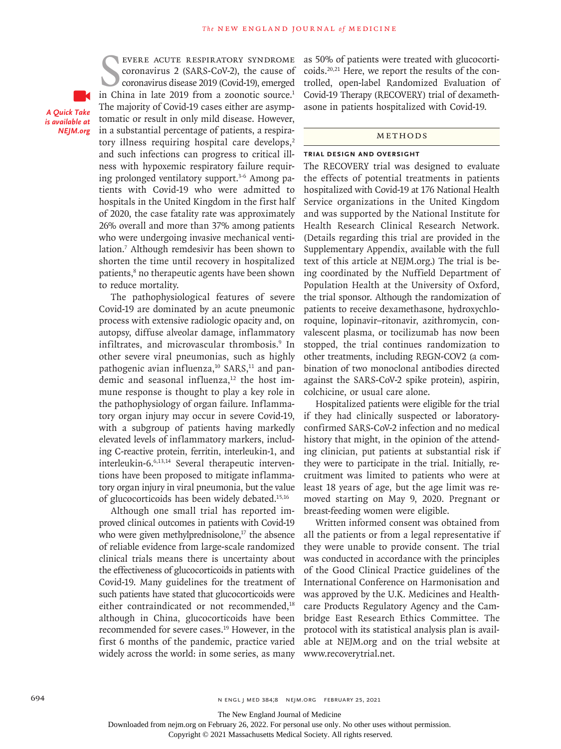*A Quick Take is available at NEJM.org*

EVERE ACUTE RESPIRATORY SYNDROME<br>
coronavirus 2 (SARS-CoV-2), the cause of<br>
coronavirus disease 2019 (Covid-19), emerged<br>
in China in late 2019 from a zoonotic source.<sup>1</sup> evere acute respiratory syndrome coronavirus 2 (SARS-CoV-2), the cause of coronavirus disease 2019 (Covid-19), emerged The majority of Covid-19 cases either are asymptomatic or result in only mild disease. However, in a substantial percentage of patients, a respiratory illness requiring hospital care develops, $2$ and such infections can progress to critical illness with hypoxemic respiratory failure requiring prolonged ventilatory support.<sup>3-6</sup> Among patients with Covid-19 who were admitted to hospitals in the United Kingdom in the first half of 2020, the case fatality rate was approximately 26% overall and more than 37% among patients who were undergoing invasive mechanical ventilation.7 Although remdesivir has been shown to shorten the time until recovery in hospitalized patients,<sup>8</sup> no therapeutic agents have been shown to reduce mortality.

The pathophysiological features of severe Covid-19 are dominated by an acute pneumonic process with extensive radiologic opacity and, on autopsy, diffuse alveolar damage, inflammatory infiltrates, and microvascular thrombosis.9 In other severe viral pneumonias, such as highly pathogenic avian influenza, $10$  SARS, $11$  and pandemic and seasonal influenza,<sup>12</sup> the host immune response is thought to play a key role in the pathophysiology of organ failure. Inflammatory organ injury may occur in severe Covid-19, with a subgroup of patients having markedly elevated levels of inflammatory markers, including C-reactive protein, ferritin, interleukin-1, and interleukin-6.6,13,14 Several therapeutic interventions have been proposed to mitigate inflammatory organ injury in viral pneumonia, but the value of glucocorticoids has been widely debated.<sup>15,16</sup>

Although one small trial has reported improved clinical outcomes in patients with Covid-19 who were given methylprednisolone, $17$  the absence of reliable evidence from large-scale randomized clinical trials means there is uncertainty about the effectiveness of glucocorticoids in patients with Covid-19. Many guidelines for the treatment of such patients have stated that glucocorticoids were either contraindicated or not recommended,<sup>18</sup> although in China, glucocorticoids have been recommended for severe cases.<sup>19</sup> However, in the first 6 months of the pandemic, practice varied widely across the world: in some series, as many as 50% of patients were treated with glucocorticoids.20,21 Here, we report the results of the controlled, open-label Randomized Evaluation of Covid-19 Therapy (RECOVERY) trial of dexamethasone in patients hospitalized with Covid-19.

#### Methods

#### **Trial Design and Oversight**

The RECOVERY trial was designed to evaluate the effects of potential treatments in patients hospitalized with Covid-19 at 176 National Health Service organizations in the United Kingdom and was supported by the National Institute for Health Research Clinical Research Network. (Details regarding this trial are provided in the Supplementary Appendix, available with the full text of this article at NEJM.org.) The trial is being coordinated by the Nuffield Department of Population Health at the University of Oxford, the trial sponsor. Although the randomization of patients to receive dexamethasone, hydroxychloroquine, lopinavir–ritonavir, azithromycin, convalescent plasma, or tocilizumab has now been stopped, the trial continues randomization to other treatments, including REGN-COV2 (a combination of two monoclonal antibodies directed against the SARS-CoV-2 spike protein), aspirin, colchicine, or usual care alone.

Hospitalized patients were eligible for the trial if they had clinically suspected or laboratoryconfirmed SARS-CoV-2 infection and no medical history that might, in the opinion of the attending clinician, put patients at substantial risk if they were to participate in the trial. Initially, recruitment was limited to patients who were at least 18 years of age, but the age limit was removed starting on May 9, 2020. Pregnant or breast-feeding women were eligible.

Written informed consent was obtained from all the patients or from a legal representative if they were unable to provide consent. The trial was conducted in accordance with the principles of the Good Clinical Practice guidelines of the International Conference on Harmonisation and was approved by the U.K. Medicines and Healthcare Products Regulatory Agency and the Cambridge East Research Ethics Committee. The protocol with its statistical analysis plan is available at NEJM.org and on the trial website at www.recoverytrial.net.

694 n engl j med 384;8 nejm.org February 25, 2021

The New England Journal of Medicine

Downloaded from nejm.org on February 26, 2022. For personal use only. No other uses without permission.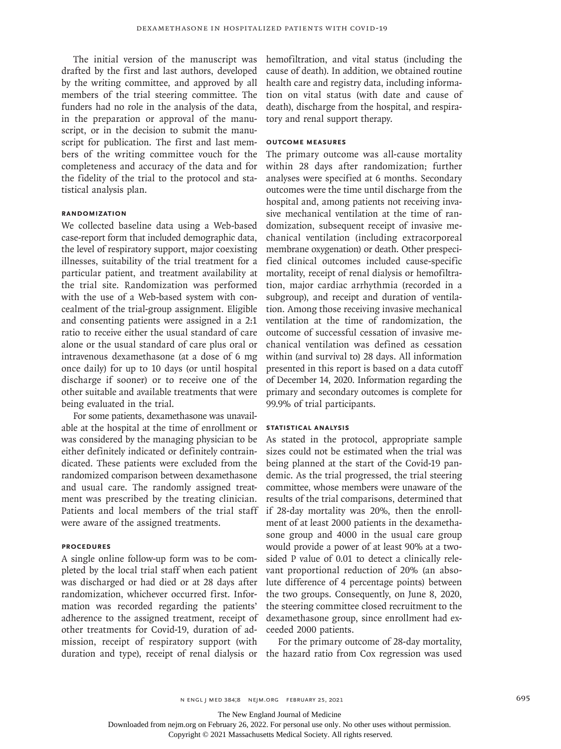The initial version of the manuscript was drafted by the first and last authors, developed by the writing committee, and approved by all members of the trial steering committee. The funders had no role in the analysis of the data, in the preparation or approval of the manuscript, or in the decision to submit the manuscript for publication. The first and last members of the writing committee vouch for the completeness and accuracy of the data and for the fidelity of the trial to the protocol and statistical analysis plan.

# **Randomization**

We collected baseline data using a Web-based case-report form that included demographic data, the level of respiratory support, major coexisting illnesses, suitability of the trial treatment for a particular patient, and treatment availability at the trial site. Randomization was performed with the use of a Web-based system with concealment of the trial-group assignment. Eligible and consenting patients were assigned in a 2:1 ratio to receive either the usual standard of care alone or the usual standard of care plus oral or intravenous dexamethasone (at a dose of 6 mg once daily) for up to 10 days (or until hospital discharge if sooner) or to receive one of the other suitable and available treatments that were being evaluated in the trial.

For some patients, dexamethasone was unavailable at the hospital at the time of enrollment or was considered by the managing physician to be either definitely indicated or definitely contraindicated. These patients were excluded from the randomized comparison between dexamethasone and usual care. The randomly assigned treatment was prescribed by the treating clinician. Patients and local members of the trial staff were aware of the assigned treatments.

#### **Procedures**

A single online follow-up form was to be completed by the local trial staff when each patient was discharged or had died or at 28 days after randomization, whichever occurred first. Information was recorded regarding the patients' adherence to the assigned treatment, receipt of other treatments for Covid-19, duration of admission, receipt of respiratory support (with duration and type), receipt of renal dialysis or hemofiltration, and vital status (including the cause of death). In addition, we obtained routine health care and registry data, including information on vital status (with date and cause of death), discharge from the hospital, and respiratory and renal support therapy.

#### **Outcome Measures**

The primary outcome was all-cause mortality within 28 days after randomization; further analyses were specified at 6 months. Secondary outcomes were the time until discharge from the hospital and, among patients not receiving invasive mechanical ventilation at the time of randomization, subsequent receipt of invasive mechanical ventilation (including extracorporeal membrane oxygenation) or death. Other prespecified clinical outcomes included cause-specific mortality, receipt of renal dialysis or hemofiltration, major cardiac arrhythmia (recorded in a subgroup), and receipt and duration of ventilation. Among those receiving invasive mechanical ventilation at the time of randomization, the outcome of successful cessation of invasive mechanical ventilation was defined as cessation within (and survival to) 28 days. All information presented in this report is based on a data cutoff of December 14, 2020. Information regarding the primary and secondary outcomes is complete for 99.9% of trial participants.

#### **Statistical Analysis**

As stated in the protocol, appropriate sample sizes could not be estimated when the trial was being planned at the start of the Covid-19 pandemic. As the trial progressed, the trial steering committee, whose members were unaware of the results of the trial comparisons, determined that if 28-day mortality was 20%, then the enrollment of at least 2000 patients in the dexamethasone group and 4000 in the usual care group would provide a power of at least 90% at a twosided P value of 0.01 to detect a clinically relevant proportional reduction of 20% (an absolute difference of 4 percentage points) between the two groups. Consequently, on June 8, 2020, the steering committee closed recruitment to the dexamethasone group, since enrollment had exceeded 2000 patients.

For the primary outcome of 28-day mortality, the hazard ratio from Cox regression was used

The New England Journal of Medicine

Downloaded from nejm.org on February 26, 2022. For personal use only. No other uses without permission.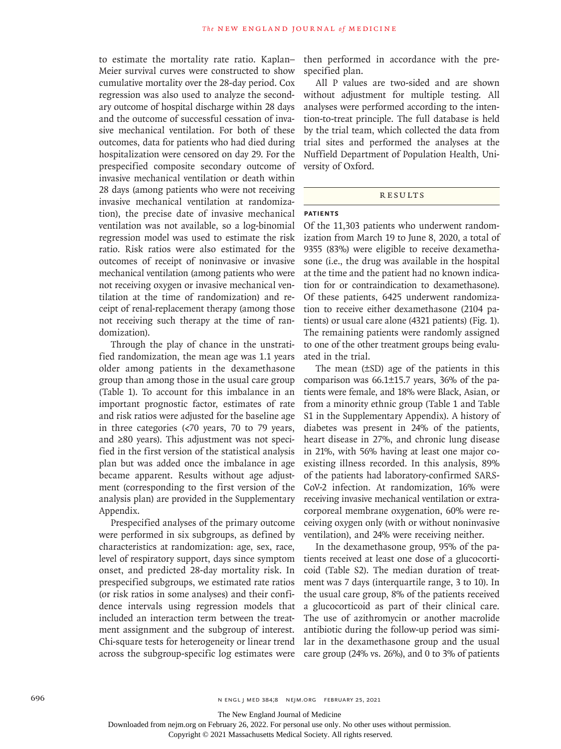to estimate the mortality rate ratio. Kaplan– Meier survival curves were constructed to show cumulative mortality over the 28-day period. Cox regression was also used to analyze the secondary outcome of hospital discharge within 28 days and the outcome of successful cessation of invasive mechanical ventilation. For both of these outcomes, data for patients who had died during hospitalization were censored on day 29. For the prespecified composite secondary outcome of invasive mechanical ventilation or death within 28 days (among patients who were not receiving invasive mechanical ventilation at randomization), the precise date of invasive mechanical ventilation was not available, so a log-binomial regression model was used to estimate the risk ratio. Risk ratios were also estimated for the outcomes of receipt of noninvasive or invasive mechanical ventilation (among patients who were not receiving oxygen or invasive mechanical ventilation at the time of randomization) and receipt of renal-replacement therapy (among those not receiving such therapy at the time of randomization).

Through the play of chance in the unstratified randomization, the mean age was 1.1 years older among patients in the dexamethasone group than among those in the usual care group (Table 1). To account for this imbalance in an important prognostic factor, estimates of rate and risk ratios were adjusted for the baseline age in three categories (<70 years, 70 to 79 years, and ≥80 years). This adjustment was not specified in the first version of the statistical analysis plan but was added once the imbalance in age became apparent. Results without age adjustment (corresponding to the first version of the analysis plan) are provided in the Supplementary Appendix.

Prespecified analyses of the primary outcome were performed in six subgroups, as defined by characteristics at randomization: age, sex, race, level of respiratory support, days since symptom onset, and predicted 28-day mortality risk. In prespecified subgroups, we estimated rate ratios (or risk ratios in some analyses) and their confidence intervals using regression models that included an interaction term between the treatment assignment and the subgroup of interest. Chi-square tests for heterogeneity or linear trend across the subgroup-specific log estimates were then performed in accordance with the prespecified plan.

All P values are two-sided and are shown without adjustment for multiple testing. All analyses were performed according to the intention-to-treat principle. The full database is held by the trial team, which collected the data from trial sites and performed the analyses at the Nuffield Department of Population Health, University of Oxford.

#### **RESULTS**

# **Patients**

Of the 11,303 patients who underwent randomization from March 19 to June 8, 2020, a total of 9355 (83%) were eligible to receive dexamethasone (i.e., the drug was available in the hospital at the time and the patient had no known indication for or contraindication to dexamethasone). Of these patients, 6425 underwent randomization to receive either dexamethasone (2104 patients) or usual care alone (4321 patients) (Fig. 1). The remaining patients were randomly assigned to one of the other treatment groups being evaluated in the trial.

The mean (±SD) age of the patients in this comparison was 66.1±15.7 years, 36% of the patients were female, and 18% were Black, Asian, or from a minority ethnic group (Table 1 and Table S1 in the Supplementary Appendix). A history of diabetes was present in 24% of the patients, heart disease in 27%, and chronic lung disease in 21%, with 56% having at least one major coexisting illness recorded. In this analysis, 89% of the patients had laboratory-confirmed SARS-CoV-2 infection. At randomization, 16% were receiving invasive mechanical ventilation or extracorporeal membrane oxygenation, 60% were receiving oxygen only (with or without noninvasive ventilation), and 24% were receiving neither.

In the dexamethasone group, 95% of the patients received at least one dose of a glucocorticoid (Table S2). The median duration of treatment was 7 days (interquartile range, 3 to 10). In the usual care group, 8% of the patients received a glucocorticoid as part of their clinical care. The use of azithromycin or another macrolide antibiotic during the follow-up period was similar in the dexamethasone group and the usual care group (24% vs. 26%), and 0 to 3% of patients

The New England Journal of Medicine

Downloaded from nejm.org on February 26, 2022. For personal use only. No other uses without permission.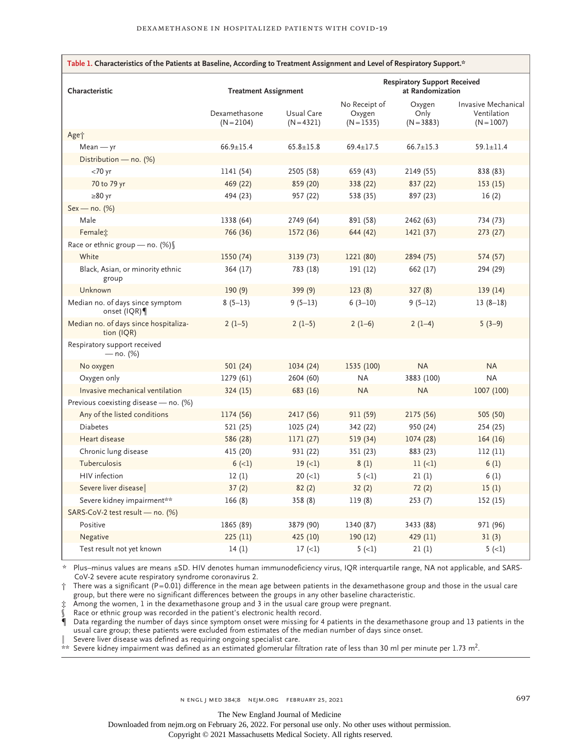| Table 1. Characteristics of the Patients at Baseline, According to Treatment Assignment and Level of Respiratory Support.* |                               |                            |                                                         |                                |                                                    |  |  |
|----------------------------------------------------------------------------------------------------------------------------|-------------------------------|----------------------------|---------------------------------------------------------|--------------------------------|----------------------------------------------------|--|--|
| Characteristic                                                                                                             | <b>Treatment Assignment</b>   |                            | <b>Respiratory Support Received</b><br>at Randomization |                                |                                                    |  |  |
|                                                                                                                            | Dexamethasone<br>$(N = 2104)$ | Usual Care<br>$(N = 4321)$ | No Receipt of<br>Oxygen<br>$(N = 1535)$                 | Oxygen<br>Only<br>$(N = 3883)$ | Invasive Mechanical<br>Ventilation<br>$(N = 1007)$ |  |  |
| Age <sup>+</sup>                                                                                                           |                               |                            |                                                         |                                |                                                    |  |  |
| $Mean - yr$                                                                                                                | $66.9 \pm 15.4$               | $65.8 \pm 15.8$            | $69.4 \pm 17.5$                                         | $66.7 \pm 15.3$                | $59.1 \pm 11.4$                                    |  |  |
| Distribution - no. (%)                                                                                                     |                               |                            |                                                         |                                |                                                    |  |  |
| $<$ 70 yr                                                                                                                  | 1141 (54)                     | 2505 (58)                  | 659 (43)                                                | 2149 (55)                      | 838 (83)                                           |  |  |
| 70 to 79 yr                                                                                                                | 469 (22)                      | 859 (20)                   | 338 (22)                                                | 837 (22)                       | 153(15)                                            |  |  |
| $\geq 80$ yr                                                                                                               | 494 (23)                      | 957 (22)                   | 538 (35)                                                | 897 (23)                       | 16(2)                                              |  |  |
| $Sex - no. (%)$                                                                                                            |                               |                            |                                                         |                                |                                                    |  |  |
| Male                                                                                                                       | 1338 (64)                     | 2749 (64)                  | 891 (58)                                                | 2462 (63)                      | 734 (73)                                           |  |  |
| Femalet                                                                                                                    | 766 (36)                      | 1572 (36)                  | 644 (42)                                                | 1421 (37)                      | 273 (27)                                           |  |  |
| Race or ethnic group - no. (%)                                                                                             |                               |                            |                                                         |                                |                                                    |  |  |
| White                                                                                                                      | 1550 (74)                     | 3139 (73)                  | 1221 (80)                                               | 2894 (75)                      | 574 (57)                                           |  |  |
| Black, Asian, or minority ethnic<br>group                                                                                  | 364 (17)                      | 783 (18)                   | 191 (12)                                                | 662 (17)                       | 294 (29)                                           |  |  |
| Unknown                                                                                                                    | 190(9)                        | 399(9)                     | 123(8)                                                  | 327(8)                         | 139(14)                                            |  |  |
| Median no. of days since symptom<br>onset (IQR)                                                                            | $8(5-13)$                     | $9(5-13)$                  | $6(3-10)$                                               | $9(5-12)$                      | $13(8-18)$                                         |  |  |
| Median no. of days since hospitaliza-<br>tion (IQR)                                                                        | $2(1-5)$                      | $2(1-5)$                   | $2(1-6)$                                                | $2(1-4)$                       | $5(3-9)$                                           |  |  |
| Respiratory support received<br>$-$ no. (%)                                                                                |                               |                            |                                                         |                                |                                                    |  |  |
| No oxygen                                                                                                                  | 501 (24)                      | 1034 (24)                  | 1535 (100)                                              | <b>NA</b>                      | <b>NA</b>                                          |  |  |
| Oxygen only                                                                                                                | 1279(61)                      | 2604 (60)                  | NA                                                      | 3883 (100)                     | <b>NA</b>                                          |  |  |
| Invasive mechanical ventilation                                                                                            | 324(15)                       | 683 (16)                   | <b>NA</b>                                               | <b>NA</b>                      | 1007 (100)                                         |  |  |
| Previous coexisting disease - no. (%)                                                                                      |                               |                            |                                                         |                                |                                                    |  |  |
| Any of the listed conditions                                                                                               | 1174 (56)                     | 2417 (56)                  | 911 (59)                                                | 2175 (56)                      | 505 (50)                                           |  |  |
| <b>Diabetes</b>                                                                                                            | 521 (25)                      | 1025 (24)                  | 342 (22)                                                | 950 (24)                       | 254 (25)                                           |  |  |
| Heart disease                                                                                                              | 586 (28)                      | 1171 (27)                  | 519 (34)                                                | 1074 (28)                      | 164(16)                                            |  |  |
| Chronic lung disease                                                                                                       | 415 (20)                      | 931 (22)                   | 351 (23)                                                | 883 (23)                       | 112(11)                                            |  |  |
| Tuberculosis                                                                                                               | $6 (-1)$                      | $19 (=1)$                  | 8(1)                                                    | $11 (=1)$                      | 6(1)                                               |  |  |
| HIV infection                                                                                                              | 12(1)                         | $20 (=1)$                  | $5 (-1)$                                                | 21(1)                          | 6(1)                                               |  |  |
| Severe liver disease                                                                                                       | 37(2)                         | 82(2)                      | 32(2)                                                   | 72(2)                          | 15(1)                                              |  |  |
| Severe kidney impairment**                                                                                                 | 166(8)                        | 358 (8)                    | 119(8)                                                  | 253(7)                         | 152 (15)                                           |  |  |
| SARS-CoV-2 test result - no. (%)                                                                                           |                               |                            |                                                         |                                |                                                    |  |  |
| Positive                                                                                                                   | 1865 (89)                     | 3879 (90)                  | 1340 (87)                                               | 3433 (88)                      | 971 (96)                                           |  |  |
| Negative                                                                                                                   | 225(11)                       | 425 (10)                   | 190 (12)                                                | 429 (11)                       | 31(3)                                              |  |  |
| Test result not yet known                                                                                                  | 14(1)                         | 17(1)                      | $5(-1)$                                                 | 21(1)                          | $5(-1)$                                            |  |  |

\* Plus–minus values are means ±SD. HIV denotes human immunodeficiency virus, IQR interquartile range, NA not applicable, and SARS-CoV-2 severe acute respiratory syndrome coronavirus 2.  $\dagger$  There was a significant (P=0.01) difference in the mean age between patients in the dexamethasone group and those in the usual care

group, but there were no significant differences between the groups in any other baseline characteristic.

‡ Among the women, 1 in the dexamethasone group and 3 in the usual care group were pregnant.

Race or ethnic group was recorded in the patient's electronic health record.

¶ Data regarding the number of days since symptom onset were missing for 4 patients in the dexamethasone group and 13 patients in the usual care group; these patients were excluded from estimates of the median number of days since onset.

Severe liver disease was defined as requiring ongoing specialist care.

 $*$  Severe kidney impairment was defined as an estimated glomerular filtration rate of less than 30 ml per minute per 1.73 m<sup>2</sup>.

The New England Journal of Medicine

Downloaded from nejm.org on February 26, 2022. For personal use only. No other uses without permission.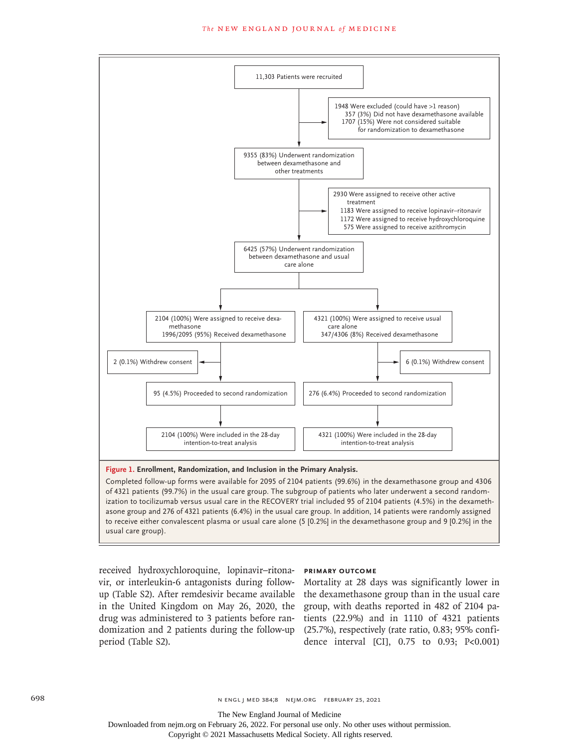#### **The NEW ENGLAND JOURNAL of MEDICINE**



ization to tocilizumab versus usual care in the RECOVERY trial included 95 of 2104 patients (4.5%) in the dexamethasone group and 276 of 4321 patients (6.4%) in the usual care group. In addition, 14 patients were randomly assigned to receive either convalescent plasma or usual care alone (5 [0.2%] in the dexamethasone group and 9 [0.2%] in the usual care group).

received hydroxychloroquine, lopinavir–ritonavir, or interleukin-6 antagonists during followup (Table S2). After remdesivir became available in the United Kingdom on May 26, 2020, the group, with deaths reported in 482 of 2104 padomization and 2 patients during the follow-up (25.7%), respectively (rate ratio, 0.83; 95% confiperiod (Table S2).

#### **Primary Outcome**

drug was administered to 3 patients before ran-tients (22.9%) and in 1110 of 4321 patients Mortality at 28 days was significantly lower in the dexamethasone group than in the usual care dence interval [CI], 0.75 to 0.93; P<0.001)

The New England Journal of Medicine

Downloaded from nejm.org on February 26, 2022. For personal use only. No other uses without permission.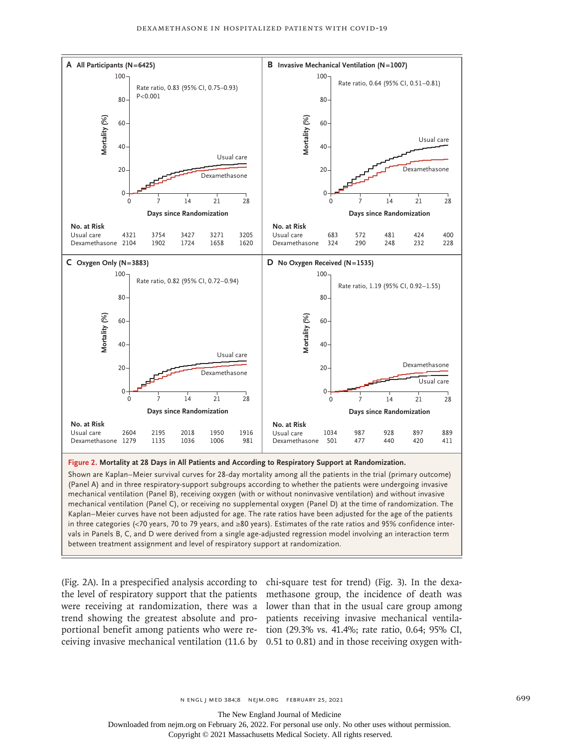

Shown are Kaplan–Meier survival curves for 28-day mortality among all the patients in the trial (primary outcome) (Panel A) and in three respiratory-support subgroups according to whether the patients were undergoing invasive mechanical ventilation (Panel B), receiving oxygen (with or without noninvasive ventilation) and without invasive mechanical ventilation (Panel C), or receiving no supplemental oxygen (Panel D) at the time of randomization. The Kaplan–Meier curves have not been adjusted for age. The rate ratios have been adjusted for the age of the patients in three categories (<70 years, 70 to 79 years, and ≥80 years). Estimates of the rate ratios and 95% confidence intervals in Panels B, C, and D were derived from a single age-adjusted regression model involving an interaction term

(Fig. 2A). In a prespecified analysis according to chi-square test for trend) (Fig. 3). In the dexathe level of respiratory support that the patients methasone group, the incidence of death was were receiving at randomization, there was a lower than that in the usual care group among trend showing the greatest absolute and pro-patients receiving invasive mechanical ventilaportional benefit among patients who were re-tion (29.3% vs. 41.4%; rate ratio, 0.64; 95% CI, ceiving invasive mechanical ventilation (11.6 by 0.51 to 0.81) and in those receiving oxygen with-

The New England Journal of Medicine

Downloaded from nejm.org on February 26, 2022. For personal use only. No other uses without permission.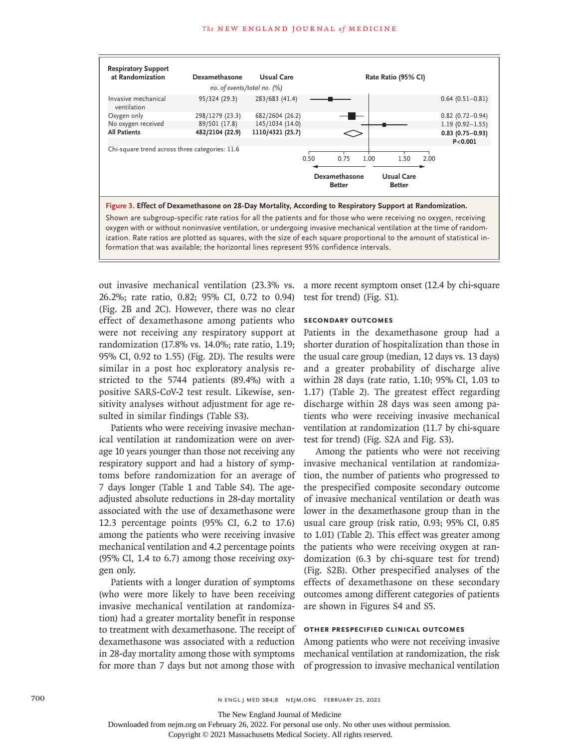

oxygen with or without noninvasive ventilation, or undergoing invasive mechanical ventilation at the time of randomization. Rate ratios are plotted as squares, with the size of each square proportional to the amount of statistical information that was available; the horizontal lines represent 95% confidence intervals.

out invasive mechanical ventilation (23.3% vs. 26.2%; rate ratio, 0.82; 95% CI, 0.72 to 0.94) (Fig. 2B and 2C). However, there was no clear effect of dexamethasone among patients who were not receiving any respiratory support at randomization (17.8% vs. 14.0%; rate ratio, 1.19; 95% CI, 0.92 to 1.55) (Fig. 2D). The results were similar in a post hoc exploratory analysis restricted to the 5744 patients (89.4%) with a positive SARS-CoV-2 test result. Likewise, sensitivity analyses without adjustment for age resulted in similar findings (Table S3).

Patients who were receiving invasive mechanical ventilation at randomization were on average 10 years younger than those not receiving any respiratory support and had a history of symptoms before randomization for an average of 7 days longer (Table 1 and Table S4). The ageadjusted absolute reductions in 28-day mortality associated with the use of dexamethasone were 12.3 percentage points (95% CI, 6.2 to 17.6) among the patients who were receiving invasive mechanical ventilation and 4.2 percentage points (95% CI, 1.4 to 6.7) among those receiving oxygen only.

Patients with a longer duration of symptoms (who were more likely to have been receiving invasive mechanical ventilation at randomization) had a greater mortality benefit in response to treatment with dexamethasone. The receipt of dexamethasone was associated with a reduction in 28-day mortality among those with symptoms for more than 7 days but not among those with

a more recent symptom onset (12.4 by chi-square test for trend) (Fig. S1).

#### **Secondary Outcomes**

Patients in the dexamethasone group had a shorter duration of hospitalization than those in the usual care group (median, 12 days vs. 13 days) and a greater probability of discharge alive within 28 days (rate ratio, 1.10; 95% CI, 1.03 to 1.17) (Table 2). The greatest effect regarding discharge within 28 days was seen among patients who were receiving invasive mechanical ventilation at randomization (11.7 by chi-square test for trend) (Fig. S2A and Fig. S3).

Among the patients who were not receiving invasive mechanical ventilation at randomization, the number of patients who progressed to the prespecified composite secondary outcome of invasive mechanical ventilation or death was lower in the dexamethasone group than in the usual care group (risk ratio, 0.93; 95% CI, 0.85 to 1.01) (Table 2). This effect was greater among the patients who were receiving oxygen at randomization (6.3 by chi-square test for trend) (Fig. S2B). Other prespecified analyses of the effects of dexamethasone on these secondary outcomes among different categories of patients are shown in Figures S4 and S5.

### **Other Prespecified Clinical Outcomes**

Among patients who were not receiving invasive mechanical ventilation at randomization, the risk of progression to invasive mechanical ventilation

700 n engl j med 384;8 nejm.org February 25, 2021

Downloaded from nejm.org on February 26, 2022. For personal use only. No other uses without permission.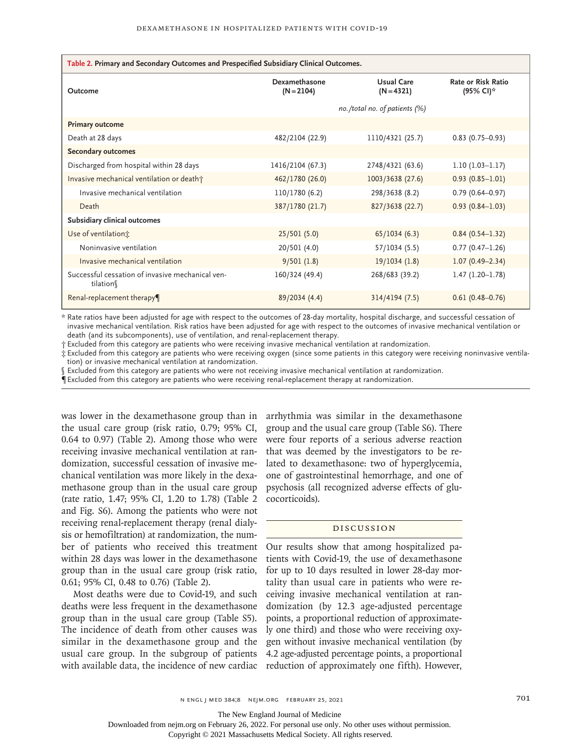| Table 2. Primary and Secondary Outcomes and Prespecified Subsidiary Clinical Outcomes. |                                  |                            |                                        |  |  |  |  |
|----------------------------------------------------------------------------------------|----------------------------------|----------------------------|----------------------------------------|--|--|--|--|
| Outcome                                                                                | Dexamethasone<br>$(N = 2104)$    | Usual Care<br>$(N = 4321)$ | <b>Rate or Risk Ratio</b><br>(95% CI)* |  |  |  |  |
|                                                                                        | no./total no. of patients $(\%)$ |                            |                                        |  |  |  |  |
| <b>Primary outcome</b>                                                                 |                                  |                            |                                        |  |  |  |  |
| Death at 28 days                                                                       | 482/2104 (22.9)                  | 1110/4321 (25.7)           | $0.83$ (0.75-0.93)                     |  |  |  |  |
| <b>Secondary outcomes</b>                                                              |                                  |                            |                                        |  |  |  |  |
| Discharged from hospital within 28 days                                                | 1416/2104 (67.3)                 | 2748/4321 (63.6)           | $1.10(1.03-1.17)$                      |  |  |  |  |
| Invasive mechanical ventilation or death†                                              | 462/1780 (26.0)                  | 1003/3638 (27.6)           | $0.93(0.85 - 1.01)$                    |  |  |  |  |
| Invasive mechanical ventilation                                                        | 110/1780 (6.2)                   | 298/3638 (8.2)             | $0.79(0.64 - 0.97)$                    |  |  |  |  |
| Death                                                                                  | 387/1780 (21.7)                  | 827/3638 (22.7)            | $0.93(0.84 - 1.03)$                    |  |  |  |  |
| Subsidiary clinical outcomes                                                           |                                  |                            |                                        |  |  |  |  |
| Use of ventilation;                                                                    | 25/501(5.0)                      | 65/1034(6.3)               | $0.84(0.54 - 1.32)$                    |  |  |  |  |
| Noninvasive ventilation                                                                | 20/501 (4.0)                     | 57/1034 (5.5)              | $0.77(0.47-1.26)$                      |  |  |  |  |
| Invasive mechanical ventilation                                                        | 9/501(1.8)                       | 19/1034(1.8)               | $1.07(0.49 - 2.34)$                    |  |  |  |  |
| Successful cessation of invasive mechanical ven-<br>tilation                           | 160/324 (49.4)                   | 268/683 (39.2)             | $1.47(1.20-1.78)$                      |  |  |  |  |
| Renal-replacement therapy¶                                                             | 89/2034 (4.4)                    | 314/4194 (7.5)             | $0.61(0.48 - 0.76)$                    |  |  |  |  |

\* Rate ratios have been adjusted for age with respect to the outcomes of 28-day mortality, hospital discharge, and successful cessation of invasive mechanical ventilation. Risk ratios have been adjusted for age with respect to the outcomes of invasive mechanical ventilation or death (and its subcomponents), use of ventilation, and renal-replacement therapy.

† Excluded from this category are patients who were receiving invasive mechanical ventilation at randomization.

‡ Excluded from this category are patients who were receiving oxygen (since some patients in this category were receiving noninvasive ventilation) or invasive mechanical ventilation at randomization.

Excluded from this category are patients who were not receiving invasive mechanical ventilation at randomization.

 $\P$  Excluded from this category are patients who were receiving renal-replacement therapy at randomization.

was lower in the dexamethasone group than in the usual care group (risk ratio, 0.79; 95% CI, 0.64 to 0.97) (Table 2). Among those who were receiving invasive mechanical ventilation at randomization, successful cessation of invasive mechanical ventilation was more likely in the dexamethasone group than in the usual care group (rate ratio, 1.47; 95% CI, 1.20 to 1.78) (Table 2 and Fig. S6). Among the patients who were not receiving renal-replacement therapy (renal dialysis or hemofiltration) at randomization, the number of patients who received this treatment within 28 days was lower in the dexamethasone group than in the usual care group (risk ratio, 0.61; 95% CI, 0.48 to 0.76) (Table 2).

Most deaths were due to Covid-19, and such deaths were less frequent in the dexamethasone group than in the usual care group (Table S5). The incidence of death from other causes was similar in the dexamethasone group and the usual care group. In the subgroup of patients with available data, the incidence of new cardiac arrhythmia was similar in the dexamethasone group and the usual care group (Table S6). There were four reports of a serious adverse reaction that was deemed by the investigators to be related to dexamethasone: two of hyperglycemia, one of gastrointestinal hemorrhage, and one of psychosis (all recognized adverse effects of glucocorticoids).

#### Discussion

Our results show that among hospitalized patients with Covid-19, the use of dexamethasone for up to 10 days resulted in lower 28-day mortality than usual care in patients who were receiving invasive mechanical ventilation at randomization (by 12.3 age-adjusted percentage points, a proportional reduction of approximately one third) and those who were receiving oxygen without invasive mechanical ventilation (by 4.2 age-adjusted percentage points, a proportional reduction of approximately one fifth). However,

The New England Journal of Medicine

Downloaded from nejm.org on February 26, 2022. For personal use only. No other uses without permission.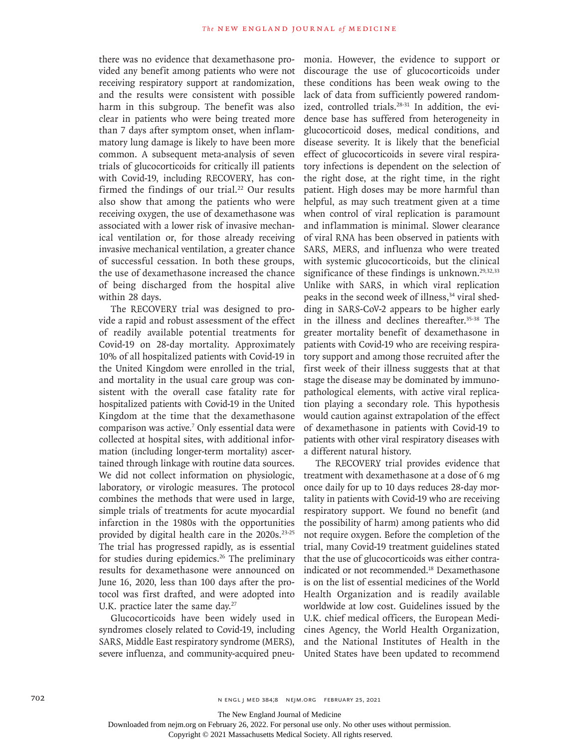there was no evidence that dexamethasone provided any benefit among patients who were not receiving respiratory support at randomization, and the results were consistent with possible harm in this subgroup. The benefit was also clear in patients who were being treated more than 7 days after symptom onset, when inflammatory lung damage is likely to have been more common. A subsequent meta-analysis of seven trials of glucocorticoids for critically ill patients with Covid-19, including RECOVERY, has confirmed the findings of our trial.<sup>22</sup> Our results also show that among the patients who were receiving oxygen, the use of dexamethasone was associated with a lower risk of invasive mechanical ventilation or, for those already receiving invasive mechanical ventilation, a greater chance of successful cessation. In both these groups, the use of dexamethasone increased the chance of being discharged from the hospital alive within 28 days.

The RECOVERY trial was designed to provide a rapid and robust assessment of the effect of readily available potential treatments for Covid-19 on 28-day mortality. Approximately 10% of all hospitalized patients with Covid-19 in the United Kingdom were enrolled in the trial, and mortality in the usual care group was consistent with the overall case fatality rate for hospitalized patients with Covid-19 in the United Kingdom at the time that the dexamethasone comparison was active.7 Only essential data were collected at hospital sites, with additional information (including longer-term mortality) ascertained through linkage with routine data sources. We did not collect information on physiologic, laboratory, or virologic measures. The protocol combines the methods that were used in large, simple trials of treatments for acute myocardial infarction in the 1980s with the opportunities provided by digital health care in the 2020s.<sup>23-25</sup> The trial has progressed rapidly, as is essential for studies during epidemics.<sup>26</sup> The preliminary results for dexamethasone were announced on June 16, 2020, less than 100 days after the protocol was first drafted, and were adopted into U.K. practice later the same day.<sup>27</sup>

Glucocorticoids have been widely used in syndromes closely related to Covid-19, including SARS, Middle East respiratory syndrome (MERS), severe influenza, and community-acquired pneumonia. However, the evidence to support or discourage the use of glucocorticoids under these conditions has been weak owing to the lack of data from sufficiently powered randomized, controlled trials.<sup>28-31</sup> In addition, the evidence base has suffered from heterogeneity in glucocorticoid doses, medical conditions, and disease severity. It is likely that the beneficial effect of glucocorticoids in severe viral respiratory infections is dependent on the selection of the right dose, at the right time, in the right patient. High doses may be more harmful than helpful, as may such treatment given at a time when control of viral replication is paramount and inflammation is minimal. Slower clearance of viral RNA has been observed in patients with SARS, MERS, and influenza who were treated with systemic glucocorticoids, but the clinical significance of these findings is unknown.<sup>29,32,33</sup> Unlike with SARS, in which viral replication peaks in the second week of illness,<sup>34</sup> viral shedding in SARS-CoV-2 appears to be higher early in the illness and declines thereafter.<sup>35-38</sup> The greater mortality benefit of dexamethasone in patients with Covid-19 who are receiving respiratory support and among those recruited after the first week of their illness suggests that at that stage the disease may be dominated by immunopathological elements, with active viral replication playing a secondary role. This hypothesis would caution against extrapolation of the effect of dexamethasone in patients with Covid-19 to patients with other viral respiratory diseases with a different natural history.

The RECOVERY trial provides evidence that treatment with dexamethasone at a dose of 6 mg once daily for up to 10 days reduces 28-day mortality in patients with Covid-19 who are receiving respiratory support. We found no benefit (and the possibility of harm) among patients who did not require oxygen. Before the completion of the trial, many Covid-19 treatment guidelines stated that the use of glucocorticoids was either contraindicated or not recommended.<sup>18</sup> Dexamethasone is on the list of essential medicines of the World Health Organization and is readily available worldwide at low cost. Guidelines issued by the U.K. chief medical officers, the European Medicines Agency, the World Health Organization, and the National Institutes of Health in the United States have been updated to recommend

702 n engl j med 384;8 nejm.org February 25, 2021

The New England Journal of Medicine

Downloaded from nejm.org on February 26, 2022. For personal use only. No other uses without permission.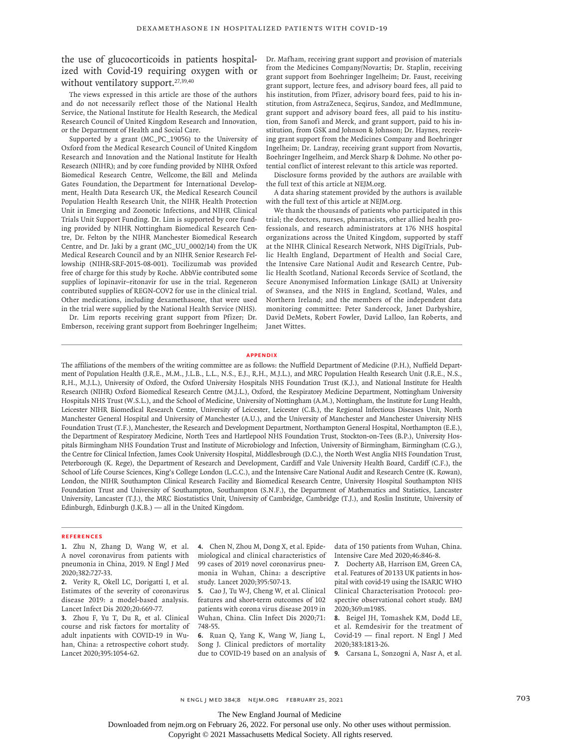the use of glucocorticoids in patients hospitalized with Covid-19 requiring oxygen with or without ventilatory support.<sup>27,39,40</sup>

The views expressed in this article are those of the authors and do not necessarily reflect those of the National Health Service, the National Institute for Health Research, the Medical Research Council of United Kingdom Research and Innovation, or the Department of Health and Social Care.

Supported by a grant (MC\_PC\_19056) to the University of Oxford from the Medical Research Council of United Kingdom Research and Innovation and the National Institute for Health Research (NIHR); and by core funding provided by NIHR Oxford Biomedical Research Centre, Wellcome, the Bill and Melinda Gates Foundation, the Department for International Development, Health Data Research UK, the Medical Research Council Population Health Research Unit, the NIHR Health Protection Unit in Emerging and Zoonotic Infections, and NIHR Clinical Trials Unit Support Funding. Dr. Lim is supported by core funding provided by NIHR Nottingham Biomedical Research Centre, Dr. Felton by the NIHR Manchester Biomedical Research Centre, and Dr. Jaki by a grant (MC\_UU\_0002/14) from the UK Medical Research Council and by an NIHR Senior Research Fellowship (NIHR-SRF-2015-08-001). Tocilizumab was provided free of charge for this study by Roche. AbbVie contributed some supplies of lopinavir–ritonavir for use in the trial. Regeneron contributed supplies of REGN-COV2 for use in the clinical trial. Other medications, including dexamethasone, that were used in the trial were supplied by the National Health Service (NHS).

Dr. Lim reports receiving grant support from Pfizer; Dr. Emberson, receiving grant support from Boehringer Ingelheim; Dr. Mafham, receiving grant support and provision of materials from the Medicines Company/Novartis; Dr. Staplin, receiving grant support from Boehringer Ingelheim; Dr. Faust, receiving grant support, lecture fees, and advisory board fees, all paid to his institution, from Pfizer, advisory board fees, paid to his institution, from AstraZeneca, Seqirus, Sandoz, and MedImmune, grant support and advisory board fees, all paid to his institution, from Sanofi and Merck, and grant support, paid to his institution, from GSK and Johnson & Johnson; Dr. Haynes, receiving grant support from the Medicines Company and Boehringer Ingelheim; Dr. Landray, receiving grant support from Novartis, Boehringer Ingelheim, and Merck Sharp & Dohme. No other potential conflict of interest relevant to this article was reported.

Disclosure forms provided by the authors are available with the full text of this article at NEJM.org.

A data sharing statement provided by the authors is available with the full text of this article at NEJM.org.

We thank the thousands of patients who participated in this trial; the doctors, nurses, pharmacists, other allied health professionals, and research administrators at 176 NHS hospital organizations across the United Kingdom, supported by staff at the NIHR Clinical Research Network, NHS DigiTrials, Public Health England, Department of Health and Social Care, the Intensive Care National Audit and Research Centre, Public Health Scotland, National Records Service of Scotland, the Secure Anonymised Information Linkage (SAIL) at University of Swansea, and the NHS in England, Scotland, Wales, and Northern Ireland; and the members of the independent data monitoring committee: Peter Sandercock, Janet Darbyshire, David DeMets, Robert Fowler, David Lalloo, Ian Roberts, and Janet Wittes.

#### **Appendix**

The affiliations of the members of the writing committee are as follows: the Nuffield Department of Medicine (P.H.), Nuffield Department of Population Health (J.R.E., M.M., J.L.B., L.L., N.S., E.J., R.H., M.J.L.), and MRC Population Health Research Unit (J.R.E., N.S., R.H., M.J.L.), University of Oxford, the Oxford University Hospitals NHS Foundation Trust (K.J.), and National Institute for Health Research (NIHR) Oxford Biomedical Research Centre (M.J.L.), Oxford, the Respiratory Medicine Department, Nottingham University Hospitals NHS Trust (W.S.L.), and the School of Medicine, University of Nottingham (A.M.), Nottingham, the Institute for Lung Health, Leicester NIHR Biomedical Research Centre, University of Leicester, Leicester (C.B.), the Regional Infectious Diseases Unit, North Manchester General Hospital and University of Manchester (A.U.), and the University of Manchester and Manchester University NHS Foundation Trust (T.F.), Manchester, the Research and Development Department, Northampton General Hospital, Northampton (E.E.), the Department of Respiratory Medicine, North Tees and Hartlepool NHS Foundation Trust, Stockton-on-Tees (B.P.), University Hospitals Birmingham NHS Foundation Trust and Institute of Microbiology and Infection, University of Birmingham, Birmingham (C.G.), the Centre for Clinical Infection, James Cook University Hospital, Middlesbrough (D.C.), the North West Anglia NHS Foundation Trust, Peterborough (K. Rege), the Department of Research and Development, Cardiff and Vale University Health Board, Cardiff (C.F.), the School of Life Course Sciences, King's College London (L.C.C.), and the Intensive Care National Audit and Research Centre (K. Rowan), London, the NIHR Southampton Clinical Research Facility and Biomedical Research Centre, University Hospital Southampton NHS Foundation Trust and University of Southampton, Southampton (S.N.F.), the Department of Mathematics and Statistics, Lancaster University, Lancaster (T.J.), the MRC Biostatistics Unit, University of Cambridge, Cambridge (T.J.), and Roslin Institute, University of Edinburgh, Edinburgh (J.K.B.) — all in the United Kingdom.

#### **References**

- **1.** Zhu N, Zhang D, Wang W, et al. A novel coronavirus from patients with pneumonia in China, 2019. N Engl J Med 2020;382:727-33.
- **2.** Verity R, Okell LC, Dorigatti I, et al. Estimates of the severity of coronavirus disease 2019: a model-based analysis. Lancet Infect Dis 2020;20:669-77.

**3.** Zhou F, Yu T, Du R, et al. Clinical course and risk factors for mortality of adult inpatients with COVID-19 in Wuhan, China: a retrospective cohort study. Lancet 2020;395:1054-62.

**4.** Chen N, Zhou M, Dong X, et al. Epidemiological and clinical characteristics of 99 cases of 2019 novel coronavirus pneumonia in Wuhan, China: a descriptive study. Lancet 2020;395:507-13.

**5.** Cao J, Tu W-J, Cheng W, et al. Clinical features and short-term outcomes of 102 patients with corona virus disease 2019 in Wuhan, China. Clin Infect Dis 2020;71: 748-55.

**6.** Ruan Q, Yang K, Wang W, Jiang L, Song J. Clinical predictors of mortality due to COVID-19 based on an analysis of

data of 150 patients from Wuhan, China. Intensive Care Med 2020;46:846-8.

**7.** Docherty AB, Harrison EM, Green CA, et al. Features of 20133 UK patients in hospital with covid-19 using the ISARIC WHO Clinical Characterisation Protocol: prospective observational cohort study. BMJ 2020;369:m1985.

**8.** Beigel JH, Tomashek KM, Dodd LE, et al. Remdesivir for the treatment of Covid-19 — final report. N Engl J Med 2020;383:1813-26.

**9.** Carsana L, Sonzogni A, Nasr A, et al.

n engl j med 384;8 nejm.org February 25, 2021 703

The New England Journal of Medicine

Downloaded from nejm.org on February 26, 2022. For personal use only. No other uses without permission.